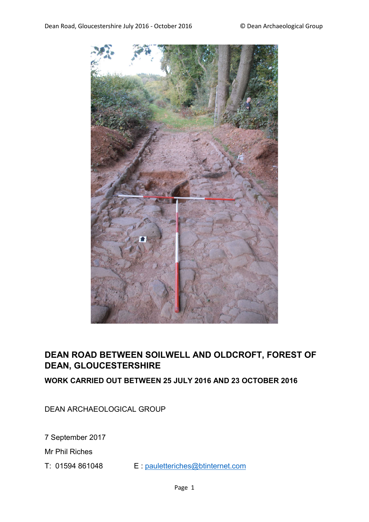

# **DEAN ROAD BETWEEN SOILWELL AND OLDCROFT, FOREST OF DEAN, GLOUCESTERSHIRE**

**WORK CARRIED OUT BETWEEN 25 JULY 2016 AND 23 OCTOBER 2016**

DEAN ARCHAEOLOGICAL GROUP

7 September 2017

Mr Phil Riches

T: 01594 861048 E : pauletteriches@btinternet.com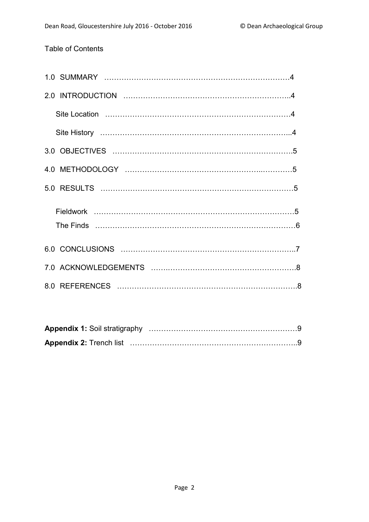# Table of Contents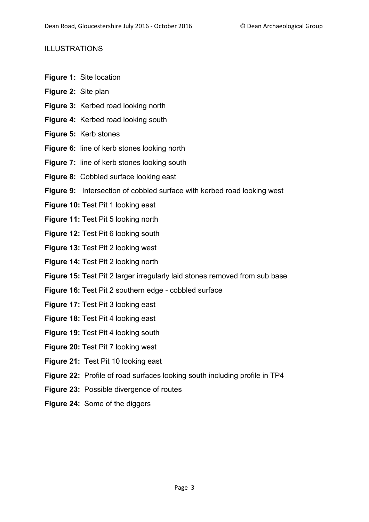## ILLUSTRATIONS

- **Figure 1:** Site location
- **Figure 2:** Site plan
- **Figure 3:** Kerbed road looking north
- **Figure 4:** Kerbed road looking south
- **Figure 5:** Kerb stones
- **Figure 6:** line of kerb stones looking north
- **Figure 7:** line of kerb stones looking south
- **Figure 8:** Cobbled surface looking east
- **Figure 9:** Intersection of cobbled surface with kerbed road looking west
- **Figure 10:** Test Pit 1 looking east
- **Figure 11:** Test Pit 5 looking north
- **Figure 12:** Test Pit 6 looking south
- **Figure 13:** Test Pit 2 looking west
- **Figure 14:** Test Pit 2 looking north
- **Figure 15:** Test Pit 2 larger irregularly laid stones removed from sub base
- **Figure 16:** Test Pit 2 southern edge cobbled surface
- **Figure 17:** Test Pit 3 looking east
- **Figure 18:** Test Pit 4 looking east
- **Figure 19:** Test Pit 4 looking south
- **Figure 20:** Test Pit 7 looking west
- **Figure 21:** Test Pit 10 looking east
- **Figure 22:** Profile of road surfaces looking south including profile in TP4
- **Figure 23:** Possible divergence of routes
- **Figure 24:** Some of the diggers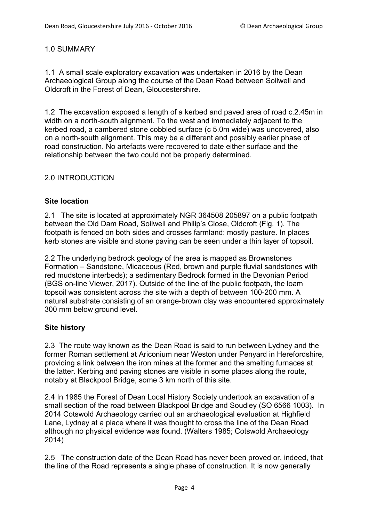## 1.0 SUMMARY

1.1 A small scale exploratory excavation was undertaken in 2016 by the Dean Archaeological Group along the course of the Dean Road between Soilwell and Oldcroft in the Forest of Dean, Gloucestershire.

1.2 The excavation exposed a length of a kerbed and paved area of road c.2.45m in width on a north-south alignment. To the west and immediately adjacent to the kerbed road, a cambered stone cobbled surface (c 5.0m wide) was uncovered, also on a north-south alignment. This may be a different and possibly earlier phase of road construction. No artefacts were recovered to date either surface and the relationship between the two could not be properly determined.

## 2.0 INTRODUCTION

## **Site location**

2.1 The site is located at approximately NGR 364508 205897 on a public footpath between the Old Dam Road, Soilwell and Philip's Close, Oldcroft (Fig. 1). The footpath is fenced on both sides and crosses farmland: mostly pasture. In places kerb stones are visible and stone paving can be seen under a thin layer of topsoil.

2.2 The underlying bedrock geology of the area is mapped as Brownstones Formation – Sandstone, Micaceous (Red, brown and purple fluvial sandstones with red mudstone interbeds); a sedimentary Bedrock formed in the Devonian Period (BGS on-line Viewer, 2017). Outside of the line of the public footpath, the loam topsoil was consistent across the site with a depth of between 100-200 mm. A natural substrate consisting of an orange-brown clay was encountered approximately 300 mm below ground level.

## **Site history**

2.3 The route way known as the Dean Road is said to run between Lydney and the former Roman settlement at Ariconium near Weston under Penyard in Herefordshire, providing a link between the iron mines at the former and the smelting furnaces at the latter. Kerbing and paving stones are visible in some places along the route, notably at Blackpool Bridge, some 3 km north of this site.

2.4 In 1985 the Forest of Dean Local History Society undertook an excavation of a small section of the road between Blackpool Bridge and Soudley (SO 6566 1003). In 2014 Cotswold Archaeology carried out an archaeological evaluation at Highfield Lane, Lydney at a place where it was thought to cross the line of the Dean Road although no physical evidence was found. (Walters 1985; Cotswold Archaeology 2014)

2.5 The construction date of the Dean Road has never been proved or, indeed, that the line of the Road represents a single phase of construction. It is now generally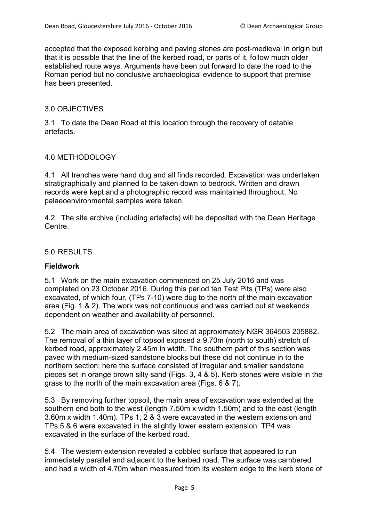accepted that the exposed kerbing and paving stones are post-medieval in origin but that it is possible that the line of the kerbed road, or parts of it, follow much older established route ways. Arguments have been put forward to date the road to the Roman period but no conclusive archaeological evidence to support that premise has been presented.

#### 3.0 OBJECTIVES

3.1 To date the Dean Road at this location through the recovery of datable artefacts.

#### 4.0 METHODOLOGY

4.1 All trenches were hand dug and all finds recorded. Excavation was undertaken stratigraphically and planned to be taken down to bedrock. Written and drawn records were kept and a photographic record was maintained throughout. No palaeoenvironmental samples were taken.

4.2 The site archive (including artefacts) will be deposited with the Dean Heritage Centre.

#### 5.0 RESULTS

#### **Fieldwork**

5.1 Work on the main excavation commenced on 25 July 2016 and was completed on 23 October 2016. During this period ten Test Pits (TPs) were also excavated, of which four, (TPs 7-10) were dug to the north of the main excavation area (Fig. 1 & 2). The work was not continuous and was carried out at weekends dependent on weather and availability of personnel.

5.2 The main area of excavation was sited at approximately NGR 364503 205882. The removal of a thin layer of topsoil exposed a 9.70m (north to south) stretch of kerbed road, approximately 2.45m in width. The southern part of this section was paved with medium-sized sandstone blocks but these did not continue in to the northern section; here the surface consisted of irregular and smaller sandstone pieces set in orange brown silty sand (Figs. 3, 4 & 5). Kerb stones were visible in the grass to the north of the main excavation area (Figs. 6 & 7).

5.3 By removing further topsoil, the main area of excavation was extended at the southern end both to the west (length 7.50m x width 1.50m) and to the east (length 3.60m x width 1.40m). TPs 1, 2 & 3 were excavated in the western extension and TPs 5 & 6 were excavated in the slightly lower eastern extension. TP4 was excavated in the surface of the kerbed road.

5.4 The western extension revealed a cobbled surface that appeared to run immediately parallel and adjacent to the kerbed road. The surface was cambered and had a width of 4.70m when measured from its western edge to the kerb stone of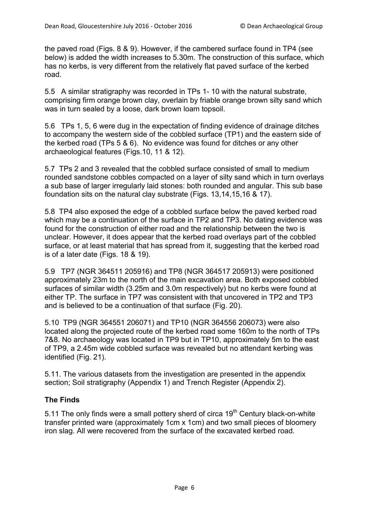the paved road (Figs. 8 & 9). However, if the cambered surface found in TP4 (see below) is added the width increases to 5.30m. The construction of this surface, which has no kerbs, is very different from the relatively flat paved surface of the kerbed road.

5.5 A similar stratigraphy was recorded in TPs 1- 10 with the natural substrate, comprising firm orange brown clay, overlain by friable orange brown silty sand which was in turn sealed by a loose, dark brown loam topsoil.

5.6 TPs 1, 5, 6 were dug in the expectation of finding evidence of drainage ditches to accompany the western side of the cobbled surface (TP1) and the eastern side of the kerbed road (TPs 5 & 6). No evidence was found for ditches or any other archaeological features (Figs.10, 11 & 12).

5.7 TPs 2 and 3 revealed that the cobbled surface consisted of small to medium rounded sandstone cobbles compacted on a layer of silty sand which in turn overlays a sub base of larger irregularly laid stones: both rounded and angular. This sub base foundation sits on the natural clay substrate (Figs. 13,14,15,16 & 17).

5.8 TP4 also exposed the edge of a cobbled surface below the paved kerbed road which may be a continuation of the surface in TP2 and TP3. No dating evidence was found for the construction of either road and the relationship between the two is unclear. However, it does appear that the kerbed road overlays part of the cobbled surface, or at least material that has spread from it, suggesting that the kerbed road is of a later date (Figs. 18 & 19).

5.9 TP7 (NGR 364511 205916) and TP8 (NGR 364517 205913) were positioned approximately 23m to the north of the main excavation area. Both exposed cobbled surfaces of similar width (3.25m and 3.0m respectively) but no kerbs were found at either TP. The surface in TP7 was consistent with that uncovered in TP2 and TP3 and is believed to be a continuation of that surface (Fig. 20).

5.10 TP9 (NGR 364551 206071) and TP10 (NGR 364556 206073) were also located along the projected route of the kerbed road some 160m to the north of TPs 7&8. No archaeology was located in TP9 but in TP10, approximately 5m to the east of TP9, a 2.45m wide cobbled surface was revealed but no attendant kerbing was identified (Fig. 21).

5.11. The various datasets from the investigation are presented in the appendix section; Soil stratigraphy (Appendix 1) and Trench Register (Appendix 2).

## **The Finds**

5.11 The only finds were a small pottery sherd of circa  $19<sup>th</sup>$  Century black-on-white transfer printed ware (approximately 1cm x 1cm) and two small pieces of bloomery iron slag. All were recovered from the surface of the excavated kerbed road.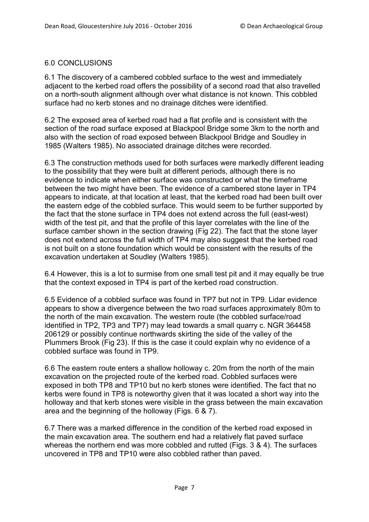### 6.0 CONCLUSIONS

6.1 The discovery of a cambered cobbled surface to the west and immediately adjacent to the kerbed road offers the possibility of a second road that also travelled on a north-south alignment although over what distance is not known. This cobbled surface had no kerb stones and no drainage ditches were identified.

6.2 The exposed area of kerbed road had a flat profile and is consistent with the section of the road surface exposed at Blackpool Bridge some 3km to the north and also with the section of road exposed between Blackpool Bridge and Soudley in 1985 (Walters 1985). No associated drainage ditches were recorded.

6.3 The construction methods used for both surfaces were markedly different leading to the possibility that they were built at different periods, although there is no evidence to indicate when either surface was constructed or what the timeframe between the two might have been. The evidence of a cambered stone layer in TP4 appears to indicate, at that location at least, that the kerbed road had been built over the eastern edge of the cobbled surface. This would seem to be further supported by the fact that the stone surface in TP4 does not extend across the full (east-west) width of the test pit, and that the profile of this layer correlates with the line of the surface camber shown in the section drawing (Fig 22). The fact that the stone layer does not extend across the full width of TP4 may also suggest that the kerbed road is not built on a stone foundation which would be consistent with the results of the excavation undertaken at Soudley (Walters 1985).

6.4 However, this is a lot to surmise from one small test pit and it may equally be true that the context exposed in TP4 is part of the kerbed road construction.

6.5 Evidence of a cobbled surface was found in TP7 but not in TP9. Lidar evidence appears to show a divergence between the two road surfaces approximately 80m to the north of the main excavation. The western route (the cobbled surface/road identified in TP2, TP3 and TP7) may lead towards a small quarry c. NGR 364458 206129 or possibly continue northwards skirting the side of the valley of the Plummers Brook (Fig 23). If this is the case it could explain why no evidence of a cobbled surface was found in TP9.

6.6 The eastern route enters a shallow holloway c. 20m from the north of the main excavation on the projected route of the kerbed road. Cobbled surfaces were exposed in both TP8 and TP10 but no kerb stones were identified. The fact that no kerbs were found in TP8 is noteworthy given that it was located a short way into the holloway and that kerb stones were visible in the grass between the main excavation area and the beginning of the holloway (Figs. 6 & 7).

6.7 There was a marked difference in the condition of the kerbed road exposed in the main excavation area. The southern end had a relatively flat paved surface whereas the northern end was more cobbled and rutted (Figs. 3 & 4). The surfaces uncovered in TP8 and TP10 were also cobbled rather than paved.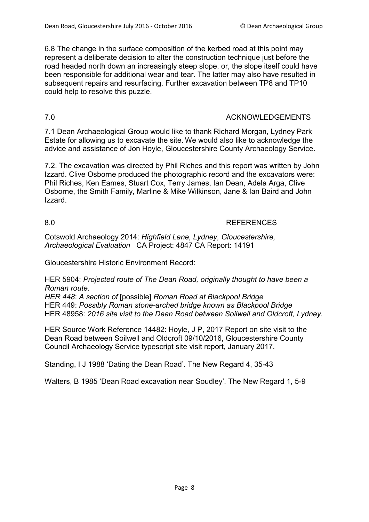6.8 The change in the surface composition of the kerbed road at this point may represent a deliberate decision to alter the construction technique just before the road headed north down an increasingly steep slope, or, the slope itself could have been responsible for additional wear and tear. The latter may also have resulted in subsequent repairs and resurfacing. Further excavation between TP8 and TP10 could help to resolve this puzzle.

#### 7.0 ACKNOWLEDGEMENTS

7.1 Dean Archaeological Group would like to thank Richard Morgan, Lydney Park Estate for allowing us to excavate the site. We would also like to acknowledge the advice and assistance of Jon Hoyle, Gloucestershire County Archaeology Service.

7.2. The excavation was directed by Phil Riches and this report was written by John Izzard. Clive Osborne produced the photographic record and the excavators were: Phil Riches, Ken Eames, Stuart Cox, Terry James, Ian Dean, Adela Arga, Clive Osborne, the Smith Family, Marline & Mike Wilkinson, Jane & Ian Baird and John Izzard.

#### 8.0 REFERENCES

Cotswold Archaeology 2014: *Highfield Lane, Lydney, Gloucestershire, Archaeological Evaluation* CA Project: 4847 CA Report: 14191

Gloucestershire Historic Environment Record:

HER 5904: *Projected route of The Dean Road, originally thought to have been a Roman route.*

*HER 448*: *A section of* [possible] *Roman Road at Blackpool Bridge* HER 449: *Possibly Roman stone-arched bridge known as Blackpool Bridge* HER 48958: *2016 site visit to the Dean Road between Soilwell and Oldcroft, Lydney.*

HER Source Work Reference 14482: Hoyle, J P, 2017 Report on site visit to the Dean Road between Soilwell and Oldcroft 09/10/2016, Gloucestershire County Council Archaeology Service typescript site visit report, January 2017.

Standing, I J 1988 'Dating the Dean Road'. The New Regard 4, 35-43

Walters, B 1985 'Dean Road excavation near Soudley'. The New Regard 1, 5-9